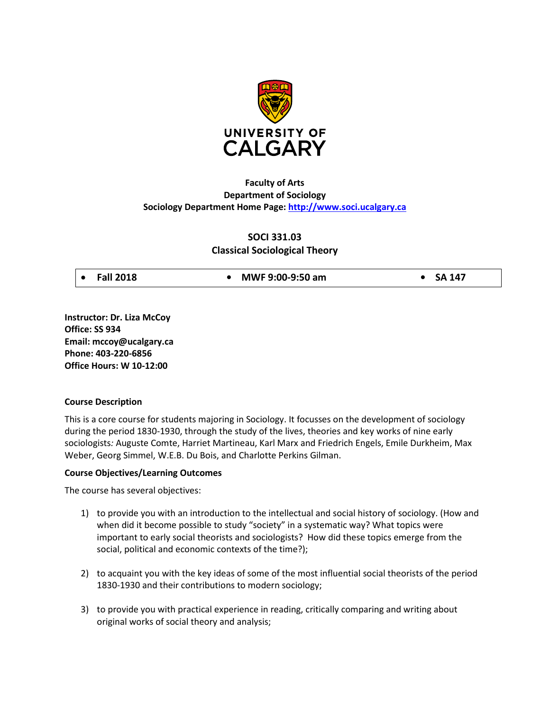

# **Faculty of Arts Department of Sociology Sociology Department Home Page: [http://www.soci.ucalgary.ca](http://www.soci.ucalgary.ca/)**

# **SOCI 331.03 Classical Sociological Theory**

| $\bullet$ Fall 2018 | • MWF $9:00-9:50$ am | $\bullet$ SA 147 |
|---------------------|----------------------|------------------|
|                     |                      |                  |

**Instructor: Dr. Liza McCoy Office: SS 934 Email: mccoy@ucalgary.ca Phone: 403-220-6856 Office Hours: W 10-12:00**

## **Course Description**

This is a core course for students majoring in Sociology. It focusses on the development of sociology during the period 1830-1930, through the study of the lives, theories and key works of nine early sociologists*:* Auguste Comte, Harriet Martineau, Karl Marx and Friedrich Engels, Emile Durkheim, Max Weber, Georg Simmel, W.E.B. Du Bois, and Charlotte Perkins Gilman.

## **Course Objectives/Learning Outcomes**

The course has several objectives:

- 1) to provide you with an introduction to the intellectual and social history of sociology. (How and when did it become possible to study "society" in a systematic way? What topics were important to early social theorists and sociologists? How did these topics emerge from the social, political and economic contexts of the time?);
- 2) to acquaint you with the key ideas of some of the most influential social theorists of the period 1830-1930 and their contributions to modern sociology;
- 3) to provide you with practical experience in reading, critically comparing and writing about original works of social theory and analysis;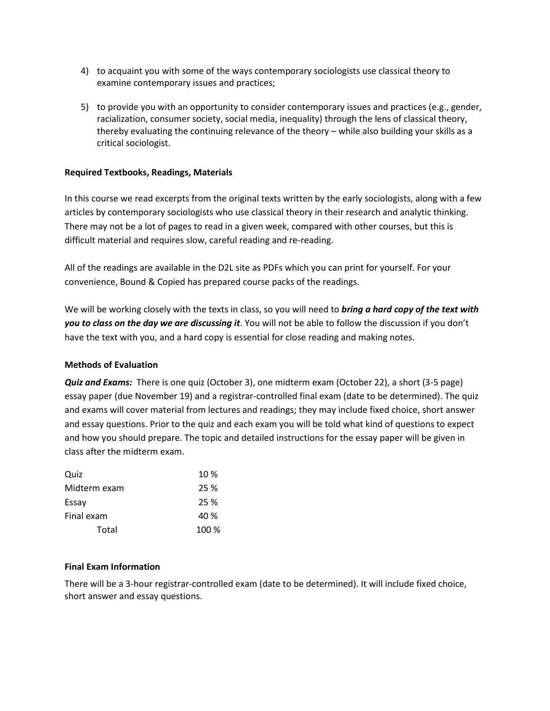- 4) to acquaint you with some of the ways contemporary sociologists use classical theory to examine contemporary issues and practices;
- 5) to provide you with an opportunity to consider contemporary issues and practices (e.g., gender, racialization, consumer society, social media, inequality) through the lens of classical theory, thereby evaluating the continuing relevance of the theory – while also building your skills as a critical sociologist.

## **Required Textbooks, Readings, Materials**

In this course we read excerpts from the original texts written by the early sociologists, along with a few articles by contemporary sociologists who use classical theory in their research and analytic thinking. There may not be a lot of pages to read in a given week, compared with other courses, but this is difficult material and requires slow, careful reading and re-reading.

All of the readings are available in the D2L site as PDFs which you can print for yourself. For your convenience, Bound & Copied has prepared course packs of the readings.

We will be working closely with the texts in class, so you will need to *bring a hard copy of the text with you to class on the day we are discussing it*. You will not be able to follow the discussion if you don't have the text with you, and a hard copy is essential for close reading and making notes.

#### **Methods of Evaluation**

*Quiz and Exams:* There is one quiz (October 3), one midterm exam (October 22), a short (3-5 page) essay paper (due November 19) and a registrar-controlled final exam (date to be determined). The quiz and exams will cover material from lectures and readings; they may include fixed choice, short answer and essay questions. Prior to the quiz and each exam you will be told what kind of questions to expect and how you should prepare. The topic and detailed instructions for the essay paper will be given in class after the midterm exam.

| Quiz         | 10 %  |
|--------------|-------|
| Midterm exam | 25 %  |
| Essay        | 25 %  |
| Final exam   | 40 %  |
| Total        | 100 % |

#### **Final Exam Information**

There will be a 3-hour registrar-controlled exam (date to be determined). It will include fixed choice, short answer and essay questions.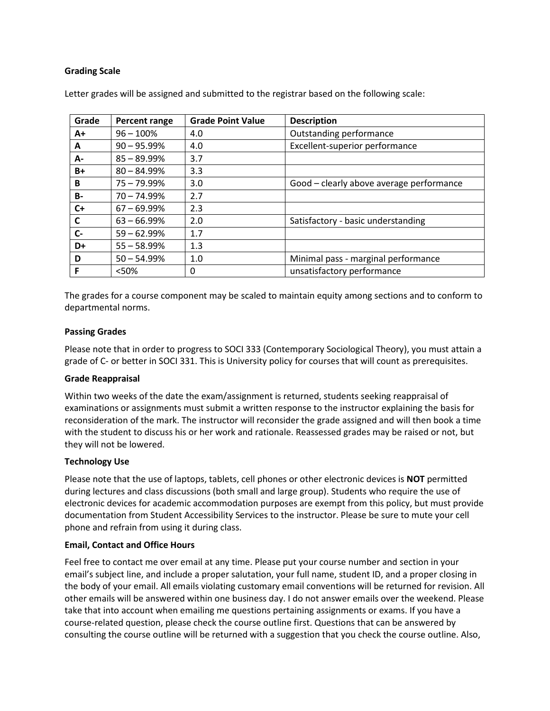## **Grading Scale**

| Grade     | <b>Percent range</b> | <b>Grade Point Value</b> | <b>Description</b>                       |
|-----------|----------------------|--------------------------|------------------------------------------|
| A+        | $96 - 100%$          | 4.0                      | Outstanding performance                  |
| A         | $90 - 95.99\%$       | 4.0                      | Excellent-superior performance           |
| А-        | $85 - 89.99\%$       | 3.7                      |                                          |
| B+        | $80 - 84.99%$        | 3.3                      |                                          |
| B         | $75 - 79.99\%$       | 3.0                      | Good - clearly above average performance |
| <b>B-</b> | $70 - 74.99\%$       | 2.7                      |                                          |
| $C+$      | $67 - 69.99\%$       | 2.3                      |                                          |
| C         | $63 - 66.99%$        | 2.0                      | Satisfactory - basic understanding       |
| $C -$     | $59 - 62.99\%$       | 1.7                      |                                          |
| D+        | $55 - 58.99\%$       | 1.3                      |                                          |
| D         | $50 - 54.99%$        | 1.0                      | Minimal pass - marginal performance      |
| F         | $<$ 50%              | 0                        | unsatisfactory performance               |

Letter grades will be assigned and submitted to the registrar based on the following scale:

The grades for a course component may be scaled to maintain equity among sections and to conform to departmental norms.

### **Passing Grades**

Please note that in order to progress to SOCI 333 (Contemporary Sociological Theory), you must attain a grade of C- or better in SOCI 331. This is University policy for courses that will count as prerequisites.

#### **Grade Reappraisal**

Within two weeks of the date the exam/assignment is returned, students seeking reappraisal of examinations or assignments must submit a written response to the instructor explaining the basis for reconsideration of the mark. The instructor will reconsider the grade assigned and will then book a time with the student to discuss his or her work and rationale. Reassessed grades may be raised or not, but they will not be lowered.

#### **Technology Use**

Please note that the use of laptops, tablets, cell phones or other electronic devices is **NOT** permitted during lectures and class discussions (both small and large group). Students who require the use of electronic devices for academic accommodation purposes are exempt from this policy, but must provide documentation from Student Accessibility Services to the instructor. Please be sure to mute your cell phone and refrain from using it during class.

#### **Email, Contact and Office Hours**

Feel free to contact me over email at any time. Please put your course number and section in your email's subject line, and include a proper salutation, your full name, student ID, and a proper closing in the body of your email. All emails violating customary email conventions will be returned for revision. All other emails will be answered within one business day. I do not answer emails over the weekend. Please take that into account when emailing me questions pertaining assignments or exams. If you have a course-related question, please check the course outline first. Questions that can be answered by consulting the course outline will be returned with a suggestion that you check the course outline. Also,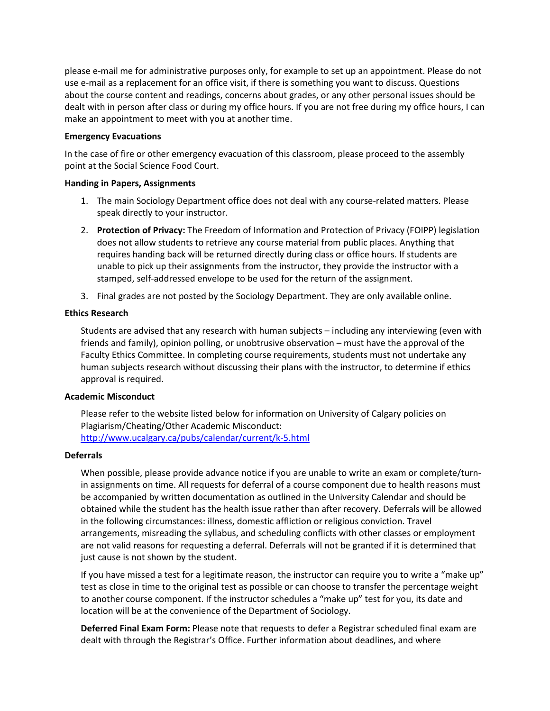please e-mail me for administrative purposes only, for example to set up an appointment. Please do not use e-mail as a replacement for an office visit, if there is something you want to discuss. Questions about the course content and readings, concerns about grades, or any other personal issues should be dealt with in person after class or during my office hours. If you are not free during my office hours, I can make an appointment to meet with you at another time.

### **Emergency Evacuations**

In the case of fire or other emergency evacuation of this classroom, please proceed to the assembly point at the Social Science Food Court.

### **Handing in Papers, Assignments**

- 1. The main Sociology Department office does not deal with any course-related matters. Please speak directly to your instructor.
- 2. **Protection of Privacy:** The Freedom of Information and Protection of Privacy (FOIPP) legislation does not allow students to retrieve any course material from public places. Anything that requires handing back will be returned directly during class or office hours. If students are unable to pick up their assignments from the instructor, they provide the instructor with a stamped, self-addressed envelope to be used for the return of the assignment.
- 3. Final grades are not posted by the Sociology Department. They are only available online.

## **Ethics Research**

Students are advised that any research with human subjects – including any interviewing (even with friends and family), opinion polling, or unobtrusive observation – must have the approval of the Faculty Ethics Committee. In completing course requirements, students must not undertake any human subjects research without discussing their plans with the instructor, to determine if ethics approval is required.

## **Academic Misconduct**

Please refer to the website listed below for information on University of Calgary policies on Plagiarism/Cheating/Other Academic Misconduct: <http://www.ucalgary.ca/pubs/calendar/current/k-5.html>

#### **Deferrals**

When possible, please provide advance notice if you are unable to write an exam or complete/turnin assignments on time. All requests for deferral of a course component due to health reasons must be accompanied by written documentation as outlined in the University Calendar and should be obtained while the student has the health issue rather than after recovery. Deferrals will be allowed in the following circumstances: illness, domestic affliction or religious conviction. Travel arrangements, misreading the syllabus, and scheduling conflicts with other classes or employment are not valid reasons for requesting a deferral. Deferrals will not be granted if it is determined that just cause is not shown by the student.

If you have missed a test for a legitimate reason, the instructor can require you to write a "make up" test as close in time to the original test as possible or can choose to transfer the percentage weight to another course component. If the instructor schedules a "make up" test for you, its date and location will be at the convenience of the Department of Sociology.

**Deferred Final Exam Form:** Please note that requests to defer a Registrar scheduled final exam are dealt with through the Registrar's Office. Further information about deadlines, and where